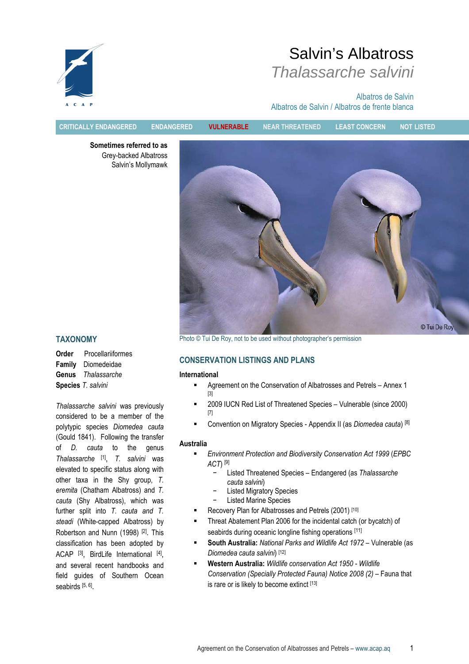

# Salvin's Albatross Thalassarche salvini

Albatros de Salvin Albatros de Salvin / Albatros de frente blanca

CRITICALLY ENDANGERED ENDANGERED VULNERABLE NEAR THREATENED LEAST CONCERN NOT LISTED

Sometimes referred to as Grey-backed Albatross Salvin's Mollymawk



TAXONOMY

Order Procellariiformes Family Diomedeidae Genus Thalassarche Species T. salvini

Thalassarche salvini was previously considered to be a member of the polytypic species Diomedea cauta (Gould 1841). Following the transfer of D. cauta to the genus Thalassarche [1], T. salvini was elevated to specific status along with other taxa in the Shy group, T. eremita (Chatham Albatross) and T. cauta (Shy Albatross), which was further split into T. cauta and T. steadi (White-capped Albatross) by Robertson and Nunn (1998) <sup>[2]</sup>. This classification has been adopted by ACAP<sup>[3]</sup>, BirdLife International <sup>[4]</sup>, and several recent handbooks and field guides of Southern Ocean seabirds <sup>[5, 6]</sup>.

Photo © Tui De Roy, not to be used without photographer's permission

# CONSERVATION LISTINGS AND PLANS

#### International

- Agreement on the Conservation of Albatrosses and Petrels Annex 1 [3]
- 2009 IUCN Red List of Threatened Species Vulnerable (since 2000) [7]
- Convention on Migratory Species Appendix II (as Diomedea cauta) [8]

# Australia

- Environment Protection and Biodiversity Conservation Act 1999 (EPBC  $ACT$ <sup>[9]</sup>
	- − Listed Threatened Species Endangered (as Thalassarche cauta salvini)
	- Listed Migratory Species
	- Listed Marine Species
- Recovery Plan for Albatrosses and Petrels (2001) [10]
- **Threat Abatement Plan 2006 for the incidental catch (or bycatch) of** seabirds during oceanic longline fishing operations [11]
- South Australia: National Parks and Wildlife Act 1972 Vulnerable (as Diomedea cauta salvini) [12]
- Western Australia: Wildlife conservation Act 1950 Wildlife Conservation (Specially Protected Fauna) Notice 2008 (2) – Fauna that is rare or is likely to become extinct [13]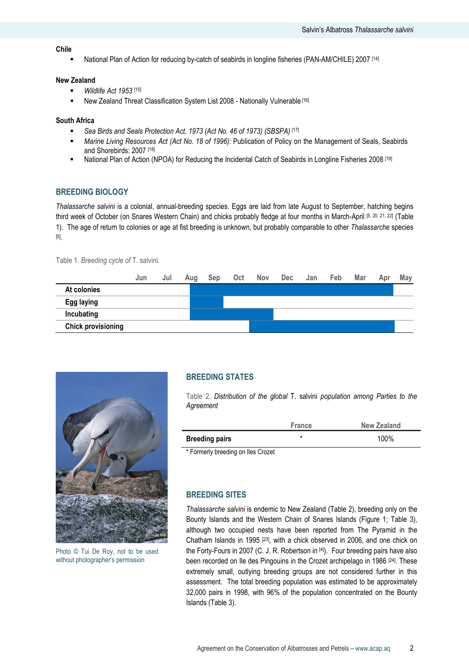#### Chile

National Plan of Action for reducing by-catch of seabirds in longline fisheries (PAN-AM/CHILE) 2007 [14]

#### New Zealand

- $Wildlife$  Act 1953 [15]
- New Zealand Threat Classification System List 2008 Nationally Vulnerable<sup>[16]</sup>

#### South Africa

- Sea Birds and Seals Protection Act, 1973 (Act No. 46 of 1973) (SBSPA) [17]
- Marine Living Resources Act (Act No. 18 of 1996): Publication of Policy on the Management of Seals, Seabirds and Shorebirds: 2007 [18]
- National Plan of Action (NPOA) for Reducing the Incidental Catch of Seabirds in Longline Fisheries 2008 [19]

#### BREEDING BIOLOGY

Thalassarche salvini is a colonial, annual-breeding species. Eggs are laid from late August to September, hatching begins third week of October (on Snares Western Chain) and chicks probably fledge at four months in March-April [5, 20, 21, 22] (Table 1). The age of return to colonies or age at fist breeding is unknown, but probably comparable to other Thalassarche species [5] .

Table 1. Breeding cycle of T. salvini.





Photo © Tui De Roy, not to be used without photographer's permission

# BREEDING STATES

Table 2. Distribution of the global T. salvini population among Parties to the **Agreement** 

|                             | <b>France</b> | New Zealand |
|-----------------------------|---------------|-------------|
| <b>Breeding pairs</b>       |               | 100%        |
| $\sim$ $-$<br>.<br>$\cdots$ |               |             |

\* Formerly breeding on Iles Crozet

# BREEDING SITES

Thalassarche salvini is endemic to New Zealand (Table 2), breeding only on the Bounty Islands and the Western Chain of Snares Islands (Figure 1; Table 3), although two occupied nests have been reported from The Pyramid in the Chatham Islands in 1995 [23], with a chick observed in 2006, and one chick on the Forty-Fours in 2007 (C. J. R. Robertson in [4]). Four breeding pairs have also been recorded on Ile des Pingouins in the Crozet archipelago in 1986 [24]. These extremely small, outlying breeding groups are not considered further in this assessment. The total breeding population was estimated to be approximately 32,000 pairs in 1998, with 96% of the population concentrated on the Bounty Islands (Table 3).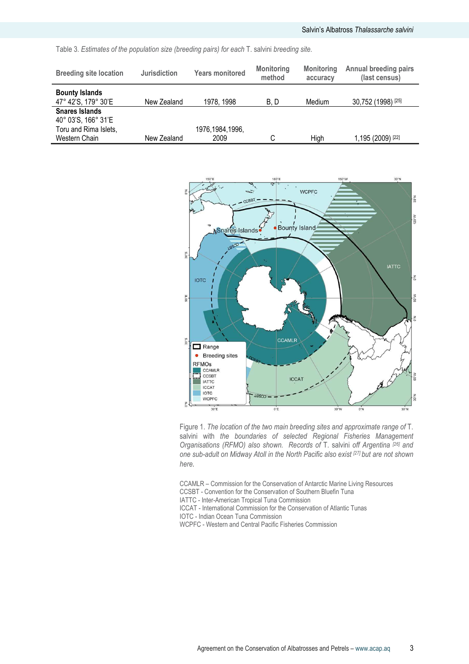|  | Table 3. Estimates of the population size (breeding pairs) for each T. salvini breeding site. |  |  |  |  |  |  |  |  |  |  |  |
|--|-----------------------------------------------------------------------------------------------|--|--|--|--|--|--|--|--|--|--|--|
|--|-----------------------------------------------------------------------------------------------|--|--|--|--|--|--|--|--|--|--|--|

| <b>Breeding site location</b>                                         | <b>Jurisdiction</b> | <b>Years monitored</b> | <b>Monitoring</b><br>method | <b>Monitoring</b><br>accuracy | <b>Annual breeding pairs</b><br>(last census) |
|-----------------------------------------------------------------------|---------------------|------------------------|-----------------------------|-------------------------------|-----------------------------------------------|
| <b>Bounty Islands</b><br>47° 42'S, 179° 30'E                          | New Zealand         | 1978, 1998             | B.D                         | Medium                        | 30,752 (1998) [25]                            |
| <b>Snares Islands</b><br>40° 03'S, 166° 31'E<br>Toru and Rima Islets, |                     | 1976, 1984, 1996,      |                             |                               |                                               |
| Western Chain                                                         | New Zealand         | 2009                   |                             | High                          | 1,195 (2009) [22]                             |



Figure 1. The location of the two main breeding sites and approximate range of T. salvini with the boundaries of selected Regional Fisheries Management Organisations (RFMO) also shown. Records of T. salvini off Argentina [26] and one sub-adult on Midway Atoll in the North Pacific also exist [27] but are not shown here.

CCAMLR – Commission for the Conservation of Antarctic Marine Living Resources CCSBT - Convention for the Conservation of Southern Bluefin Tuna IATTC - Inter-American Tropical Tuna Commission

- ICCAT International Commission for the Conservation of Atlantic Tunas
- IOTC Indian Ocean Tuna Commission
- WCPFC Western and Central Pacific Fisheries Commission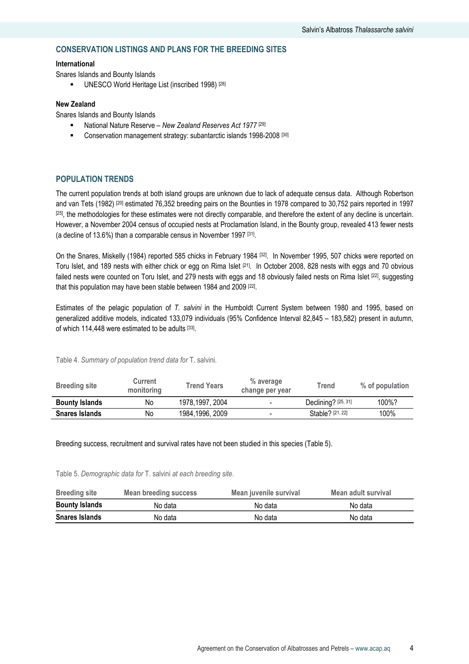# CONSERVATION LISTINGS AND PLANS FOR THE BREEDING SITES

#### International

Snares Islands and Bounty Islands

UNESCO World Heritage List (inscribed 1998) [28]

#### New Zealand

Snares Islands and Bounty Islands

- National Nature Reserve New Zealand Reserves Act 1977<sup>[29]</sup>
- **E** Conservation management strategy: subantarctic islands 1998-2008<sup>[30]</sup>

# POPULATION TRENDS

The current population trends at both island groups are unknown due to lack of adequate census data. Although Robertson and van Tets (1982) [20] estimated 76,352 breeding pairs on the Bounties in 1978 compared to 30,752 pairs reported in 1997  $[25]$ , the methodologies for these estimates were not directly comparable, and therefore the extent of any decline is uncertain. However, a November 2004 census of occupied nests at Proclamation Island, in the Bounty group, revealed 413 fewer nests (a decline of 13.6%) than a comparable census in November 1997 [31] .

On the Snares, Miskelly (1984) reported 585 chicks in February 1984 [32]. In November 1995, 507 chicks were reported on Toru Islet, and 189 nests with either chick or egg on Rima Islet [21]. In October 2008, 828 nests with eggs and 70 obvious failed nests were counted on Toru Islet, and 279 nests with eggs and 18 obviously failed nests on Rima Islet [22], suggesting that this population may have been stable between 1984 and 2009 [22] .

Estimates of the pelagic population of T. salvini in the Humboldt Current System between 1980 and 1995, based on generalized additive models, indicated 133,079 individuals (95% Confidence Interval 82,845 – 183,582) present in autumn, of which 114,448 were estimated to be adults [33].

Table 4. Summary of population trend data for T. salvini.

| <b>Breeding site</b>  | <b>Current</b><br>monitoring | <b>Trend Years</b> | % average<br>change per year | Trend                 | % of population |
|-----------------------|------------------------------|--------------------|------------------------------|-----------------------|-----------------|
| <b>Bounty Islands</b> | No                           | 1978, 1997, 2004   | -                            | Declining? $[25, 31]$ | 100%?           |
| <b>Snares Islands</b> | No                           | 1984,1996, 2009    |                              | Stable? [21, 22]      | 100%            |

Breeding success, recruitment and survival rates have not been studied in this species (Table 5).

Table 5. Demographic data for T. salvini at each breeding site.

| <b>Breeding site</b>  | Mean breeding success | Mean juvenile survival | Mean adult survival |
|-----------------------|-----------------------|------------------------|---------------------|
| <b>Bounty Islands</b> | No data               | No data                | No data             |
| <b>Snares Islands</b> | No data               | No data                | No data             |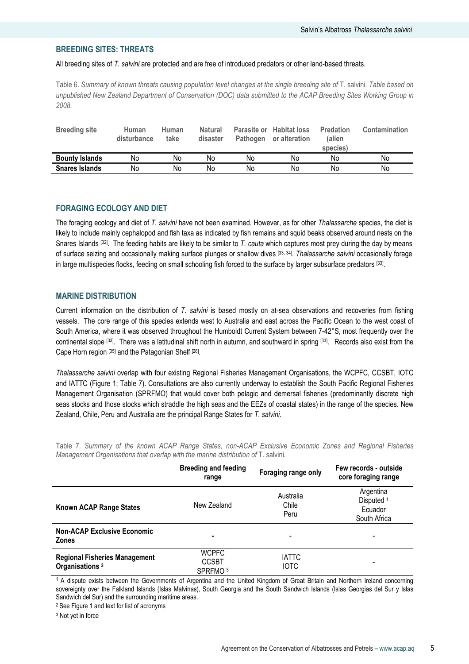# BREEDING SITES: THREATS

All breeding sites of T. salvini are protected and are free of introduced predators or other land-based threats.

Table 6. Summary of known threats causing population level changes at the single breeding site of T. salvini. Table based on unpublished New Zealand Department of Conservation (DOC) data submitted to the ACAP Breeding Sites Working Group in 2008.

| <b>Breeding site</b>  | Human<br>disturbance | <b>Human</b><br>take | <b>Natural</b><br>disaster | Pathogen | Parasite or Habitat loss<br>or alteration | <b>Predation</b><br>(alien<br>species) | <b>Contamination</b> |
|-----------------------|----------------------|----------------------|----------------------------|----------|-------------------------------------------|----------------------------------------|----------------------|
| <b>Bounty Islands</b> | No                   | No                   | No                         | No       | No                                        | No                                     | No                   |
| <b>Snares Islands</b> | No                   | No                   | No                         | No       | No                                        | No                                     | No                   |

# FORAGING ECOLOGY AND DIET

The foraging ecology and diet of T. salvini have not been examined. However, as for other Thalassarche species, the diet is likely to include mainly cephalopod and fish taxa as indicated by fish remains and squid beaks observed around nests on the Snares Islands  $[32]$ . The feeding habits are likely to be similar to T. cauta which captures most prey during the day by means of surface seizing and occasionally making surface plunges or shallow dives <sup>[33, 34]</sup>. Thalassarche salvini occasionally forage in large multispecies flocks, feeding on small schooling fish forced to the surface by larger subsurface predators [33] .

# MARINE DISTRIBUTION

Current information on the distribution of T. salvini is based mostly on at-sea observations and recoveries from fishing vessels. The core range of this species extends west to Australia and east across the Pacific Ocean to the west coast of South America, where it was observed throughout the Humboldt Current System between 7-42°S, most frequently over the continental slope [33]. There was a latitudinal shift north in autumn, and southward in spring [33] . Records also exist from the Cape Horn region [35] and the Patagonian Shelf [26].

Thalassarche salvini overlap with four existing Regional Fisheries Management Organisations, the WCPFC, CCSBT, IOTC and IATTC (Figure 1; Table 7). Consultations are also currently underway to establish the South Pacific Regional Fisheries Management Organisation (SPRFMO) that would cover both pelagic and demersal fisheries (predominantly discrete high seas stocks and those stocks which straddle the high seas and the EEZs of coastal states) in the range of the species. New Zealand, Chile, Peru and Australia are the principal Range States for T. salvini.

Table 7. Summary of the known ACAP Range States, non-ACAP Exclusive Economic Zones and Regional Fisheries Management Organisations that overlap with the marine distribution of T. salvini.

|                                                                    | <b>Breeding and feeding</b><br>range                | Foraging range only         | Few records - outside<br>core foraging range                  |
|--------------------------------------------------------------------|-----------------------------------------------------|-----------------------------|---------------------------------------------------------------|
| Known ACAP Range States                                            | New Zealand                                         | Australia<br>Chile<br>Peru  | Argentina<br>Disputed <sup>1</sup><br>Ecuador<br>South Africa |
| <b>Non-ACAP Exclusive Economic</b><br><b>Zones</b>                 | ٠                                                   |                             | ٠                                                             |
| <b>Regional Fisheries Management</b><br>Organisations <sup>2</sup> | <b>WCPFC</b><br><b>CCSBT</b><br>SPRFMO <sup>3</sup> | <b>IATTC</b><br><b>IOTC</b> | -                                                             |

<sup>1</sup>A dispute exists between the Governments of Argentina and the United Kingdom of Great Britain and Northern Ireland concerning sovereignty over the Falkland Islands (Islas Malvinas), South Georgia and the South Sandwich Islands (Islas Georgias del Sur y Islas Sandwich del Sur) and the surrounding maritime areas.

<sup>2</sup> See Figure 1 and text for list of acronyms

<sup>3</sup> Not yet in force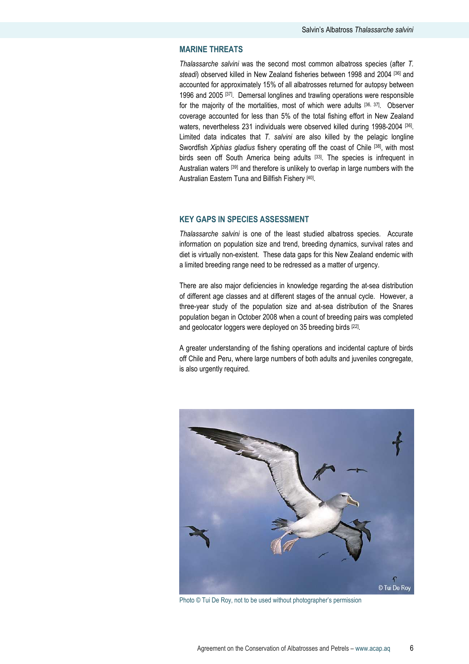# MARINE THREATS

Thalassarche salvini was the second most common albatross species (after T. steadi) observed killed in New Zealand fisheries between 1998 and 2004 [36] and accounted for approximately 15% of all albatrosses returned for autopsy between 1996 and 2005 [37]. Demersal longlines and trawling operations were responsible for the majority of the mortalities, most of which were adults [36, 37]. Observer coverage accounted for less than 5% of the total fishing effort in New Zealand waters, nevertheless 231 individuals were observed killed during 1998-2004 [36]. Limited data indicates that T. salvini are also killed by the pelagic longline Swordfish *Xiphias gladius* fishery operating off the coast of Chile [38], with most birds seen off South America being adults [33]. The species is infrequent in Australian waters [39] and therefore is unlikely to overlap in large numbers with the Australian Eastern Tuna and Billfish Fishery [40].

#### KEY GAPS IN SPECIES ASSESSMENT

Thalassarche salvini is one of the least studied albatross species. Accurate information on population size and trend, breeding dynamics, survival rates and diet is virtually non-existent. These data gaps for this New Zealand endemic with a limited breeding range need to be redressed as a matter of urgency.

There are also major deficiencies in knowledge regarding the at-sea distribution of different age classes and at different stages of the annual cycle. However, a three-year study of the population size and at-sea distribution of the Snares population began in October 2008 when a count of breeding pairs was completed and geolocator loggers were deployed on 35 breeding birds <sup>[22]</sup>.

A greater understanding of the fishing operations and incidental capture of birds off Chile and Peru, where large numbers of both adults and juveniles congregate, is also urgently required.



Photo © Tui De Roy, not to be used without photographer's permission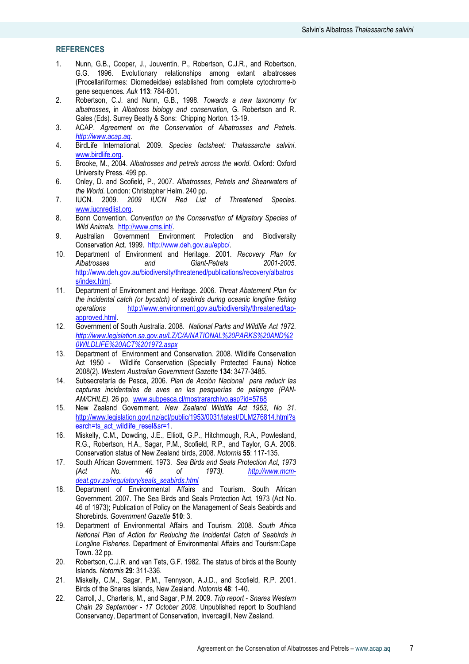# **REFERENCES**

- 1. Nunn, G.B., Cooper, J., Jouventin, P., Robertson, C.J.R., and Robertson, G.G. 1996. Evolutionary relationships among extant albatrosses (Procellariiformes: Diomedeidae) established from complete cytochrome-b gene sequences. Auk 113: 784-801.
- 2. Robertson, C.J. and Nunn, G.B., 1998. Towards a new taxonomy for albatrosses, in Albatross biology and conservation, G. Robertson and R. Gales (Eds). Surrey Beatty & Sons: Chipping Norton. 13-19.
- 3. ACAP. Agreement on the Conservation of Albatrosses and Petrels. http://www.acap.aq.
- 4. BirdLife International. 2009. Species factsheet: Thalassarche salvini. www.birdlife.org.
- 5. Brooke, M., 2004. Albatrosses and petrels across the world. Oxford: Oxford University Press. 499 pp.
- 6. Onley, D. and Scofield, P., 2007. Albatrosses, Petrels and Shearwaters of the World. London: Christopher Helm. 240 pp.
- 7. IUCN. 2009. 2009 IUCN Red List of Threatened Species. www.iucnredlist.org.
- 8. Bonn Convention. Convention on the Conservation of Migratory Species of Wild Animals. http://www.cms.int/.
- 9. Australian Government Environment Protection and Biodiversity Conservation Act. 1999. http://www.deh.gov.au/epbc/.
- 10. Department of Environment and Heritage. 2001. Recovery Plan for Albatrosses and Giant-Petrels 2001-2005. http://www.deh.gov.au/biodiversity/threatened/publications/recovery/albatros s/index.html.
- 11. Department of Environment and Heritage. 2006. Threat Abatement Plan for the incidental catch (or bycatch) of seabirds during oceanic longline fishing operations http://www.environment.gov.au/biodiversity/threatened/tapapproved.html.
- 12. Government of South Australia. 2008. National Parks and Wildlife Act 1972. http://www.legislation.sa.gov.au/LZ/C/A/NATIONAL%20PARKS%20AND%2 0WILDLIFE%20ACT%201972.aspx
- 13. Department of Environment and Conservation. 2008. Wildlife Conservation Act 1950 - Wildlife Conservation (Specially Protected Fauna) Notice 2008(2). Western Australian Government Gazette 134: 3477-3485.
- 14. Subsecretaría de Pesca, 2006. Plan de Acción Nacional para reducir las capturas incidentales de aves en las pesquerías de palangre (PAN-AM/CHILE). 26 pp. www.subpesca.cl/mostrararchivo.asp?id=5768
- 15. New Zealand Government. New Zealand Wildlife Act 1953, No 31. http://www.legislation.govt.nz/act/public/1953/0031/latest/DLM276814.html?s earch=ts\_act\_wildlife\_resel&sr=1.
- 16. Miskelly, C.M., Dowding, J.E., Elliott, G.P., Hitchmough, R.A., Powlesland, R.G., Robertson, H.A., Sagar, P.M., Scofield, R.P., and Taylor, G.A. 2008. Conservation status of New Zealand birds, 2008. Notornis 55: 117-135.
- 17. South African Government. 1973. Sea Birds and Seals Protection Act, 1973 (Act No. 46 of 1973). http://www.mcmdeat.gov.za/regulatory/seals\_seabirds.html
- 18. Department of Environmental Affairs and Tourism. South African Government. 2007. The Sea Birds and Seals Protection Act, 1973 (Act No. 46 of 1973); Publication of Policy on the Management of Seals Seabirds and Shorebirds. Government Gazette 510: 3.
- 19. Department of Environmental Affairs and Tourism. 2008. South Africa National Plan of Action for Reducing the Incidental Catch of Seabirds in Longline Fisheries. Department of Environmental Affairs and Tourism:Cape Town. 32 pp.
- 20. Robertson, C.J.R. and van Tets, G.F. 1982. The status of birds at the Bounty Islands. Notornis 29: 311-336.
- 21. Miskelly, C.M., Sagar, P.M., Tennyson, A.J.D., and Scofield, R.P. 2001. Birds of the Snares Islands, New Zealand. Notornis 48: 1-40.
- 22. Carroll, J., Charteris, M., and Sagar, P.M. 2009. Trip report Snares Western Chain 29 September - 17 October 2008. Unpublished report to Southland Conservancy, Department of Conservation, Invercagill, New Zealand.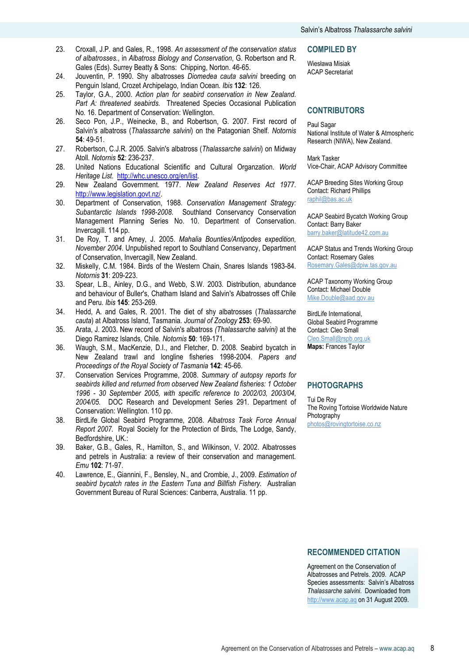- 23. Croxall, J.P. and Gales, R., 1998. An assessment of the conservation status of albatrosses., in Albatross Biology and Conservation, G. Robertson and R. Gales (Eds). Surrey Beatty & Sons: Chipping, Norton. 46-65.
- 24. Jouventin, P. 1990. Shy albatrosses Diomedea cauta salvini breeding on Penguin Island, Crozet Archipelago, Indian Ocean. Ibis 132: 126.
- 25. Taylor, G.A., 2000. Action plan for seabird conservation in New Zealand. Part A: threatened seabirds. Threatened Species Occasional Publication No. 16. Department of Conservation: Wellington.
- 26. Seco Pon, J.P., Weinecke, B., and Robertson, G. 2007. First record of Salvin's albatross (Thalassarche salvini) on the Patagonian Shelf. Notornis 54: 49-51.
- 27. Robertson, C.J.R. 2005. Salvin's albatross (Thalassarche salvini) on Midway Atoll. Notornis 52: 236-237.
- 28. United Nations Educational Scientific and Cultural Organzation. World Heritage List. http://whc.unesco.org/en/list.
- 29. New Zealand Government. 1977. New Zealand Reserves Act 1977. http://www.legislation.govt.nz/.
- 30. Department of Conservation, 1988. Conservation Management Strategy: Subantarctic Islands 1998-2008. Southland Conservancy Conservation Management Planning Series No. 10. Department of Conservation. Invercagill. 114 pp.
- 31. De Roy, T. and Amey, J. 2005. Mahalia Bounties/Antipodes expedition, November 2004. Unpublished report to Southland Conservancy, Department of Conservation, Invercagill, New Zealand.
- 32. Miskelly, C.M. 1984. Birds of the Western Chain, Snares Islands 1983-84. Notornis 31: 209-223.
- 33. Spear, L.B., Ainley, D.G., and Webb, S.W. 2003. Distribution, abundance and behaviour of Buller's, Chatham Island and Salvin's Albatrosses off Chile and Peru. Ibis 145: 253-269.
- 34. Hedd, A. and Gales, R. 2001. The diet of shy albatrosses (Thalassarche cauta) at Albatross Island, Tasmania. Journal of Zoology 253: 69-90.
- 35. Arata, J. 2003. New record of Salvin's albatross (Thalassarche salvini) at the Diego Ramirez Islands, Chile. Notornis 50: 169-171.
- 36. Waugh, S.M., MacKenzie, D.I., and Fletcher, D. 2008. Seabird bycatch in New Zealand trawl and longline fisheries 1998-2004. Papers and Proceedings of the Royal Society of Tasmania 142: 45-66.
- 37. Conservation Services Programme, 2008. Summary of autopsy reports for seabirds killed and returned from observed New Zealand fisheries: 1 October 1996 - 30 September 2005, with specific reference to 2002/03, 2003/04, 2004/05. DOC Research and Development Series 291. Department of Conservation: Wellington. 110 pp.
- 38. BirdLife Global Seabird Programme, 2008. Albatross Task Force Annual Report 2007. Royal Society for the Protection of Birds, The Lodge, Sandy, Bedfordshire, UK.:
- 39. Baker, G.B., Gales, R., Hamilton, S., and Wilkinson, V. 2002. Albatrosses and petrels in Australia: a review of their conservation and management. Emu 102: 71-97.
- 40. Lawrence, E., Giannini, F., Bensley, N., and Crombie, J., 2009. Estimation of seabird bycatch rates in the Eastern Tuna and Billfish Fishery. Australian Government Bureau of Rural Sciences: Canberra, Australia. 11 pp.

#### COMPILED BY

Wiesława Misiak ACAP Secretariat

### **CONTRIBUTORS**

#### Paul Sagar

National Institute of Water & Atmospheric Research (NIWA), New Zealand.

Mark Tasker Vice-Chair, ACAP Advisory Committee

ACAP Breeding Sites Working Group Contact: Richard Phillips raphil@bas.ac.uk

ACAP Seabird Bycatch Working Group Contact: Barry Baker barry.baker@latitude42.com.au

ACAP Status and Trends Working Group Contact: Rosemary Gales Rosemary.Gales@dpiw.tas.gov.au

ACAP Taxonomy Working Group Contact: Michael Double Mike.Double@aad.gov.au

BirdLife International, Global Seabird Programme Contact: Cleo Small Cleo.Small@rspb.org.uk Maps: Frances Taylor

#### PHOTOGRAPHS

Tui De Roy The Roving Tortoise Worldwide Nature Photography photos@rovingtortoise.co.nz

### RECOMMENDED CITATION

Agreement on the Conservation of Albatrosses and Petrels. 2009. ACAP Species assessments: Salvin's Albatross Thalassarche salvini. Downloaded from http://www.acap.aq on 31 August 2009.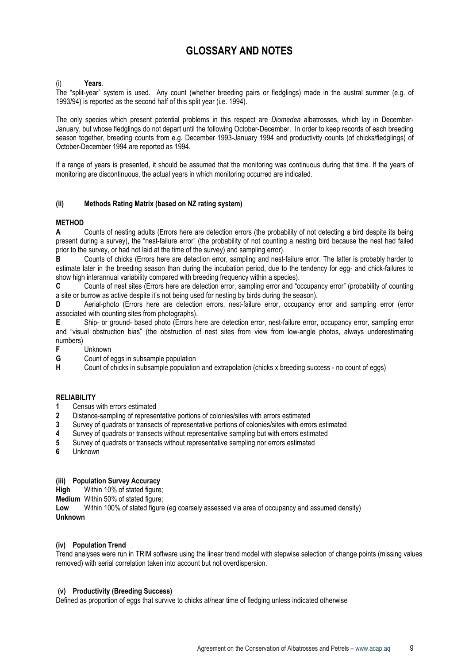# GLOSSARY AND NOTES

#### Years.

The "split-year" system is used. Any count (whether breeding pairs or fledglings) made in the austral summer (e.g. of 1993/94) is reported as the second half of this split year (i.e. 1994).

The only species which present potential problems in this respect are *Diomedea* albatrosses, which lay in December-January, but whose fledglings do not depart until the following October-December. In order to keep records of each breeding season together, breeding counts from e.g. December 1993-January 1994 and productivity counts (of chicks/fledglings) of October-December 1994 are reported as 1994.

If a range of years is presented, it should be assumed that the monitoring was continuous during that time. If the years of monitoring are discontinuous, the actual years in which monitoring occurred are indicated.

#### (ii) Methods Rating Matrix (based on NZ rating system)

# **METHOD**

A Counts of nesting adults (Errors here are detection errors (the probability of not detecting a bird despite its being present during a survey), the "nest-failure error" (the probability of not counting a nesting bird because the nest had failed prior to the survey, or had not laid at the time of the survey) and sampling error).

B Counts of chicks (Errors here are detection error, sampling and nest-failure error. The latter is probably harder to estimate later in the breeding season than during the incubation period, due to the tendency for egg- and chick-failures to show high interannual variability compared with breeding frequency within a species).

C Counts of nest sites (Errors here are detection error, sampling error and "occupancy error" (probability of counting a site or burrow as active despite it's not being used for nesting by birds during the season).

D Aerial-photo (Errors here are detection errors, nest-failure error, occupancy error and sampling error (error associated with counting sites from photographs).

E Ship- or ground- based photo (Errors here are detection error, nest-failure error, occupancy error, sampling error and "visual obstruction bias" (the obstruction of nest sites from view from low-angle photos, always underestimating numbers)

**F** Unknown<br>**G** Count of e

**G** Count of eggs in subsample population<br> **H** Count of chicks in subsample population

Count of chicks in subsample population and extrapolation (chicks x breeding success - no count of eggs)

### **RELIABILITY**

- 1 Census with errors estimated
- 2 Distance-sampling of representative portions of colonies/sites with errors estimated
- 3 Survey of quadrats or transects of representative portions of colonies/sites with errors estimated
- 4 Survey of quadrats or transects without representative sampling but with errors estimated
- 5 Survey of quadrats or transects without representative sampling nor errors estimated
- 6 Unknown

#### (iii) Population Survey Accuracy

High Within 10% of stated figure;

Medium Within 50% of stated figure;

Low Within 100% of stated figure (eg coarsely assessed via area of occupancy and assumed density) Unknown

#### (iv) Population Trend

Trend analyses were run in TRIM software using the linear trend model with stepwise selection of change points (missing values removed) with serial correlation taken into account but not overdispersion.

#### (v) Productivity (Breeding Success)

Defined as proportion of eggs that survive to chicks at/near time of fledging unless indicated otherwise